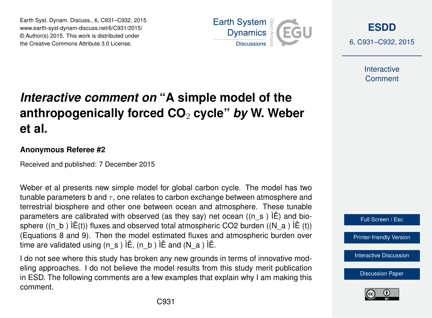Earth Syst. Dynam. Discuss., 6, C931–C932, 2015 www.earth-syst-dynam-discuss.net/6/C931/2015/ © Author(s) 2015. This work is distributed under the Creative Commons Attribute 3.0 License.



**[ESDD](http://www.earth-syst-dynam-discuss.net)**

6, C931–C932, 2015

**Interactive Comment** 

## *Interactive comment on* **"A simple model of the anthropogenically forced CO**<sup>2</sup> **cycle"** *by* **W. Weber et al.**

## **Anonymous Referee #2**

Received and published: 7 December 2015

Weber et al presents new simple model for global carbon cycle. The model has two tunable parameters b and  $\tau$ , one relates to carbon exchange between atmosphere and terrestrial biosphere and other one between ocean and atmosphere. These tunable parameters are calibrated with observed (as they say) net ocean  $((n, s)$   $)\hat{E}$ ) and biosphere ((n\_b )  $\tilde{E}(t)$ ) fluxes and observed total atmospheric CO2 burden ((N\_a )  $\tilde{E}(t)$ ) (Equations 8 and 9). Then the model estimated fluxes and atmospheric burden over time are validated using  $(n, s)$   $\check{E}$ ,  $(n, b)$   $\check{E}$  and  $(N, a)$   $\check{E}$ .

I do not see where this study has broken any new grounds in terms of innovative modeling approaches. I do not believe the model results from this study merit publication in ESD. The following comments are a few examples that explain why I am making this comment.